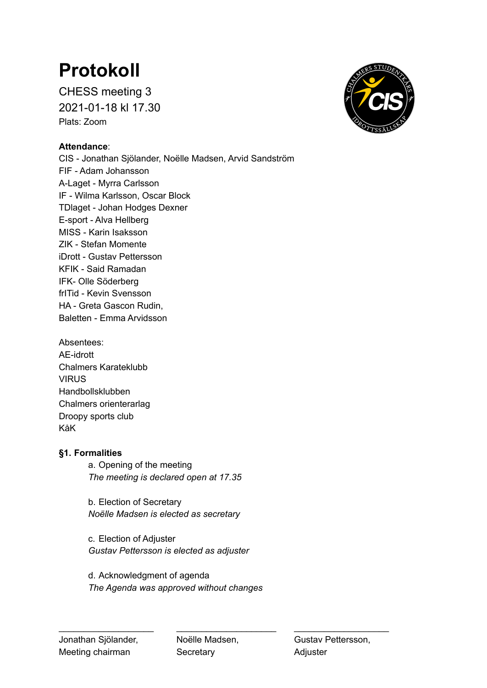# **Protokoll**

CHESS meeting 3 2021-01-18 kl 17.30 Plats: Zoom

## **Attendance**:

CIS - Jonathan Sjölander, Noëlle Madsen, Arvid Sandström FIF - Adam Johansson A-Laget - Myrra Carlsson IF - Wilma Karlsson, Oscar Block TDlaget - Johan Hodges Dexner E-sport - Alva Hellberg MISS - Karin Isaksson ZIK - Stefan Momente iDrott - Gustav Pettersson KFIK - Said Ramadan IFK- Olle Söderberg frITid - Kevin Svensson HA - Greta Gascon Rudin, Baletten - Emma Arvidsson

Absentees: AE-idrott Chalmers Karateklubb **VIRUS** Handbollsklubben Chalmers orienterarlag Droopy sports club KåK

### **§1. Formalities**

a. Opening of the meeting *The meeting is declared open at 17.35*

b. Election of Secretary *Noëlle Madsen is elected as secretary*

c. Election of Adjuster *Gustav Pettersson is elected as adjuster*

d. Acknowledgment of agenda *The Agenda was approved without changes*



\_\_\_\_\_\_\_\_\_\_\_\_\_\_\_\_\_\_\_ \_\_\_\_\_\_\_\_\_\_\_\_\_\_\_\_\_\_\_\_ \_\_\_\_\_\_\_\_\_\_\_\_\_\_\_\_\_\_\_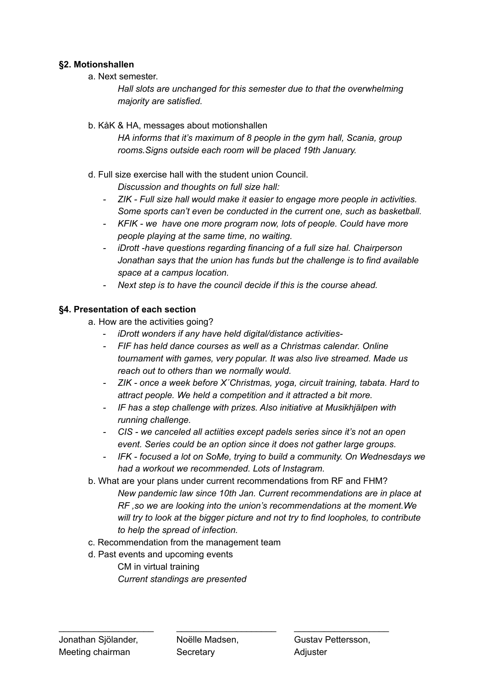### **§2. Motionshallen**

a. Next semester.

*Hall slots are unchanged for this semester due to that the overwhelming majority are satisfied.*

#### b. KåK & HA, messages about motionshallen

*HA informs that it's maximum of 8 people in the gym hall, Scania, group rooms.Signs outside each room will be placed 19th January.*

d. Full size exercise hall with the student union Council.

*Discussion and thoughts on full size hall:*

- *- ZIK - Full size hall would make it easier to engage more people in activities. Some sports can't even be conducted in the current one, such as basketball.*
- *- KFIK - we have one more program now, lots of people. Could have more people playing at the same time, no waiting.*
- *- iDrott -have questions regarding financing of a full size hal. Chairperson Jonathan says that the union has funds but the challenge is to find available space at a campus location.*
- *- Next step is to have the council decide if this is the course ahead.*

### **§4. Presentation of each section**

- a. How are the activities going?
	- *iDrott wonders if any have held digital/distance activities-*
	- *- FIF has held dance courses as well as a Christmas calendar. Online tournament with games, very popular. It was also live streamed. Made us reach out to others than we normally would.*
	- *- ZIK - once a week before X´Christmas, yoga, circuit training, tabata. Hard to attract people. We held a competition and it attracted a bit more.*
	- *- IF has a step challenge with prizes. Also initiative at Musikhjälpen with running challenge.*
	- *- CIS - we canceled all actiities except padels series since it's not an open event. Series could be an option since it does not gather large groups.*
	- *- IFK - focused a lot on SoMe, trying to build a community. On Wednesdays we had a workout we recommended. Lots of Instagram.*
- b. What are your plans under current recommendations from RF and FHM? *New pandemic law since 10th Jan. Current recommendations are in place at RF ,so we are looking into the union's recommendations at the moment.We will try to look at the bigger picture and not try to find loopholes, to contribute to help the spread of infection.*
- c. Recommendation from the management team
- d. Past events and upcoming events CM in virtual training *Current standings are presented*

\_\_\_\_\_\_\_\_\_\_\_\_\_\_\_\_\_\_\_ \_\_\_\_\_\_\_\_\_\_\_\_\_\_\_\_\_\_\_\_ \_\_\_\_\_\_\_\_\_\_\_\_\_\_\_\_\_\_\_